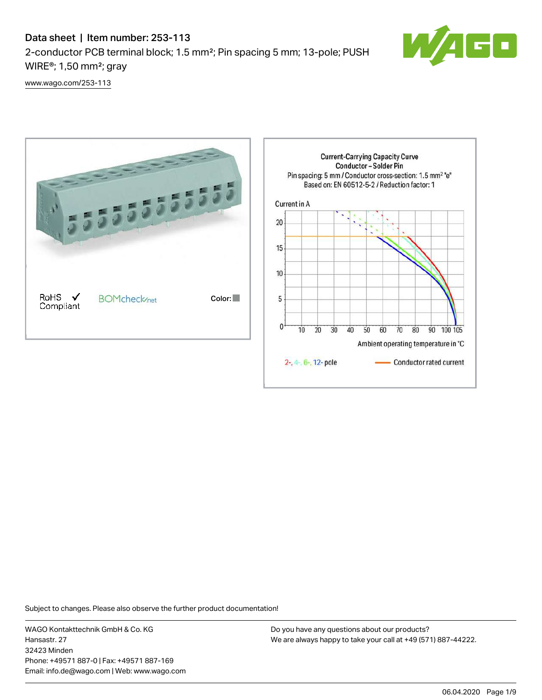# Data sheet | Item number: 253-113 2-conductor PCB terminal block; 1.5 mm²; Pin spacing 5 mm; 13-pole; PUSH WIRE®; 1,50 mm²; gray



[www.wago.com/253-113](http://www.wago.com/253-113)



Subject to changes. Please also observe the further product documentation!

WAGO Kontakttechnik GmbH & Co. KG Hansastr. 27 32423 Minden Phone: +49571 887-0 | Fax: +49571 887-169 Email: info.de@wago.com | Web: www.wago.com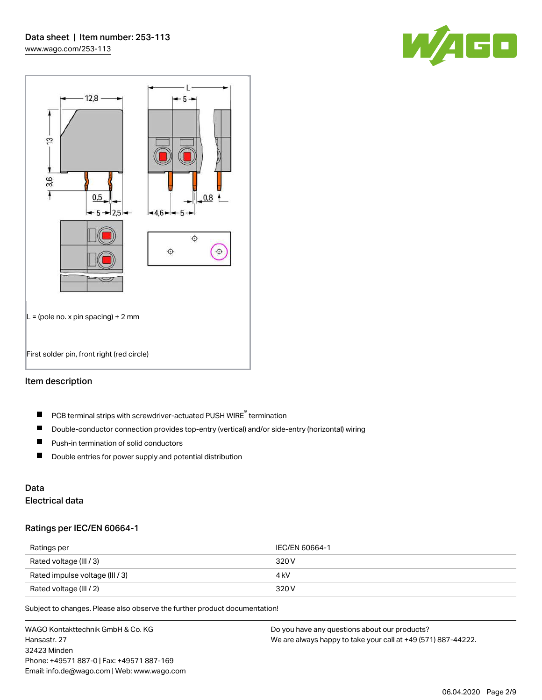



#### Item description

- PCB terminal strips with screwdriver-actuated PUSH WIRE® termination  $\blacksquare$
- $\blacksquare$ Double-conductor connection provides top-entry (vertical) and/or side-entry (horizontal) wiring
- $\blacksquare$ Push-in termination of solid conductors
- $\blacksquare$ Double entries for power supply and potential distribution

# Data

## Electrical data

#### Ratings per IEC/EN 60664-1

| Ratings per                     | IEC/EN 60664-1 |
|---------------------------------|----------------|
| Rated voltage (III / 3)         | 320 V          |
| Rated impulse voltage (III / 3) | 4 kV           |
| Rated voltage (III / 2)         | 320 V          |

Subject to changes. Please also observe the further product documentation!

WAGO Kontakttechnik GmbH & Co. KG Hansastr. 27 32423 Minden Phone: +49571 887-0 | Fax: +49571 887-169 Email: info.de@wago.com | Web: www.wago.com Do you have any questions about our products? We are always happy to take your call at +49 (571) 887-44222.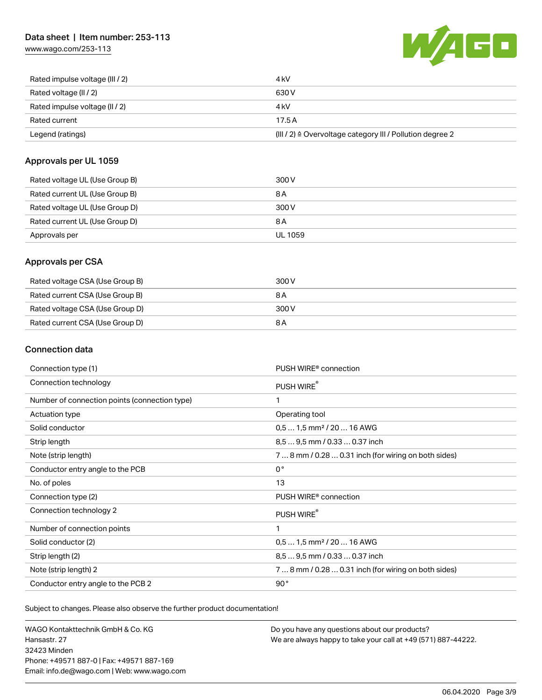## Data sheet | Item number: 253-113

[www.wago.com/253-113](http://www.wago.com/253-113)



| Rated impulse voltage (III / 2) | 4 kV                                                                 |
|---------------------------------|----------------------------------------------------------------------|
| Rated voltage (II / 2)          | 630 V                                                                |
| Rated impulse voltage (II / 2)  | 4 kV                                                                 |
| Rated current                   | 17.5A                                                                |
| Legend (ratings)                | (III / 2) $\triangleq$ Overvoltage category III / Pollution degree 2 |

#### Approvals per UL 1059

| Rated voltage UL (Use Group B) | 300 V          |
|--------------------------------|----------------|
| Rated current UL (Use Group B) | 8 A            |
| Rated voltage UL (Use Group D) | 300 V          |
| Rated current UL (Use Group D) | 8 A            |
| Approvals per                  | <b>UL 1059</b> |

### Approvals per CSA

| Rated voltage CSA (Use Group B) | 300 V |
|---------------------------------|-------|
| Rated current CSA (Use Group B) | 8 A   |
| Rated voltage CSA (Use Group D) | 300 V |
| Rated current CSA (Use Group D) | 8 A   |

## Connection data

| Connection type (1)                           | PUSH WIRE® connection                                |
|-----------------------------------------------|------------------------------------------------------|
| Connection technology                         | PUSH WIRE®                                           |
| Number of connection points (connection type) | 1                                                    |
| Actuation type                                | Operating tool                                       |
| Solid conductor                               | $0.51.5$ mm <sup>2</sup> / 20  16 AWG                |
| Strip length                                  | 8,5  9,5 mm / 0.33  0.37 inch                        |
| Note (strip length)                           | 7  8 mm / 0.28  0.31 inch (for wiring on both sides) |
| Conductor entry angle to the PCB              | $0^{\circ}$                                          |
| No. of poles                                  | 13                                                   |
| Connection type (2)                           | PUSH WIRE <sup>®</sup> connection                    |
| Connection technology 2                       | PUSH WIRE®                                           |
| Number of connection points                   | 1                                                    |
| Solid conductor (2)                           | $0.51.5$ mm <sup>2</sup> / 20  16 AWG                |
| Strip length (2)                              | 8.5  9.5 mm / 0.33  0.37 inch                        |
| Note (strip length) 2                         | 7  8 mm / 0.28  0.31 inch (for wiring on both sides) |
| Conductor entry angle to the PCB 2            | 90°                                                  |

Subject to changes. Please also observe the further product documentation!

WAGO Kontakttechnik GmbH & Co. KG Hansastr. 27 32423 Minden Phone: +49571 887-0 | Fax: +49571 887-169 Email: info.de@wago.com | Web: www.wago.com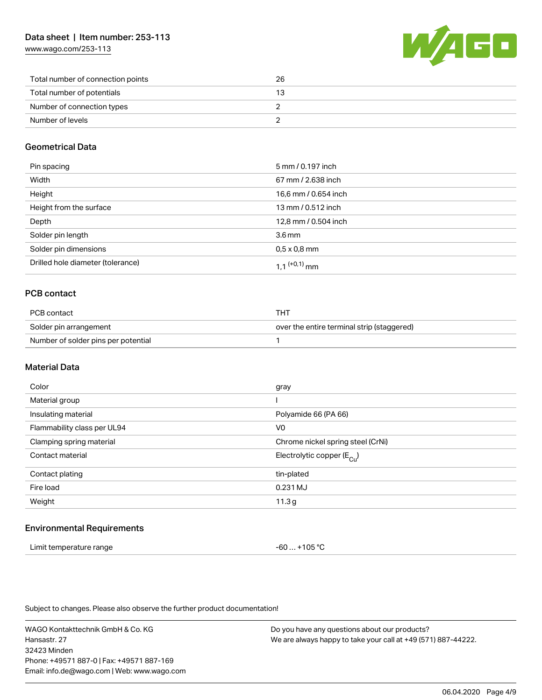[www.wago.com/253-113](http://www.wago.com/253-113)



| Total number of connection points | 26 |
|-----------------------------------|----|
| Total number of potentials        |    |
| Number of connection types        |    |
| Number of levels                  |    |

## Geometrical Data

| Pin spacing                       | 5 mm / 0.197 inch        |
|-----------------------------------|--------------------------|
| Width                             | 67 mm / 2.638 inch       |
| Height                            | 16,6 mm / 0.654 inch     |
| Height from the surface           | 13 mm / 0.512 inch       |
| Depth                             | 12,8 mm / 0.504 inch     |
| Solder pin length                 | 3.6 <sub>mm</sub>        |
| Solder pin dimensions             | $0.5 \times 0.8$ mm      |
| Drilled hole diameter (tolerance) | 1 1 <sup>(+0,1)</sup> mm |

## PCB contact

| PCB contact                         | тнт                                        |
|-------------------------------------|--------------------------------------------|
| Solder pin arrangement              | over the entire terminal strip (staggered) |
| Number of solder pins per potential |                                            |

#### Material Data

| Color                       | gray                                  |
|-----------------------------|---------------------------------------|
| Material group              |                                       |
| Insulating material         | Polyamide 66 (PA 66)                  |
| Flammability class per UL94 | V <sub>0</sub>                        |
| Clamping spring material    | Chrome nickel spring steel (CrNi)     |
| Contact material            | Electrolytic copper $(E_{\text{Cl}})$ |
| Contact plating             | tin-plated                            |
| Fire load                   | 0.231 MJ                              |
| Weight                      | 11.3g                                 |
|                             |                                       |

#### Environmental Requirements

| Limit temperature range | -60  +105 °C |
|-------------------------|--------------|
|-------------------------|--------------|

Subject to changes. Please also observe the further product documentation!

WAGO Kontakttechnik GmbH & Co. KG Hansastr. 27 32423 Minden Phone: +49571 887-0 | Fax: +49571 887-169 Email: info.de@wago.com | Web: www.wago.com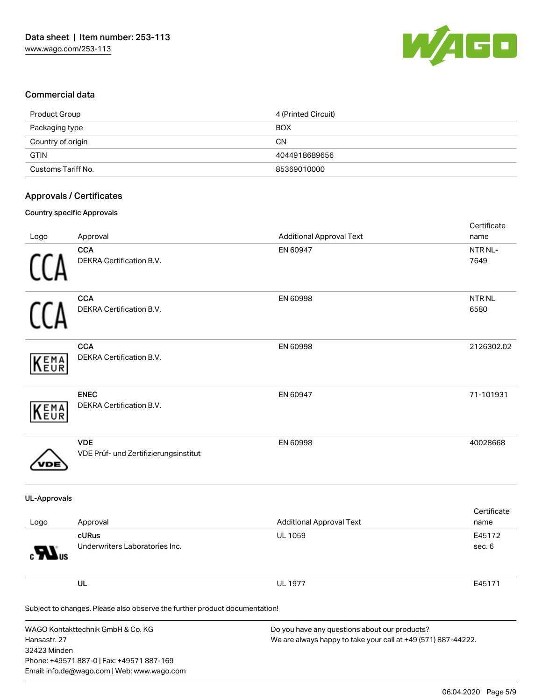

### Commercial data

| Product Group      | 4 (Printed Circuit) |
|--------------------|---------------------|
| Packaging type     | <b>BOX</b>          |
| Country of origin  | <b>CN</b>           |
| <b>GTIN</b>        | 4044918689656       |
| Customs Tariff No. | 85369010000         |

### Approvals / Certificates

#### Country specific Approvals

| Logo                         | Approval                                                                                                                      | <b>Additional Approval Text</b>                                                                                | Certificate<br>name   |
|------------------------------|-------------------------------------------------------------------------------------------------------------------------------|----------------------------------------------------------------------------------------------------------------|-----------------------|
|                              | <b>CCA</b><br>DEKRA Certification B.V.                                                                                        | EN 60947                                                                                                       | NTR NL-<br>7649       |
|                              | <b>CCA</b><br>DEKRA Certification B.V.                                                                                        | EN 60998                                                                                                       | <b>NTR NL</b><br>6580 |
| EMA<br>EUR                   | <b>CCA</b><br>DEKRA Certification B.V.                                                                                        | EN 60998                                                                                                       | 2126302.02            |
| EMA<br>EUR                   | <b>ENEC</b><br>DEKRA Certification B.V.                                                                                       | EN 60947                                                                                                       | 71-101931             |
|                              | <b>VDE</b><br>VDE Prüf- und Zertifizierungsinstitut                                                                           | EN 60998                                                                                                       | 40028668              |
| <b>UL-Approvals</b>          |                                                                                                                               |                                                                                                                |                       |
| Logo                         | Approval                                                                                                                      | <b>Additional Approval Text</b>                                                                                | Certificate<br>name   |
|                              | cURus<br>Underwriters Laboratories Inc.                                                                                       | <b>UL 1059</b>                                                                                                 | E45172<br>sec. 6      |
|                              | UL                                                                                                                            | <b>UL 1977</b>                                                                                                 | E45171                |
|                              | Subject to changes. Please also observe the further product documentation!                                                    |                                                                                                                |                       |
| Hansastr. 27<br>32423 Minden | WAGO Kontakttechnik GmbH & Co. KG<br>Phone: +49571 887-0   Fax: +49571 887-169<br>Email: info.de@wago.com   Web: www.wago.com | Do you have any questions about our products?<br>We are always happy to take your call at +49 (571) 887-44222. |                       |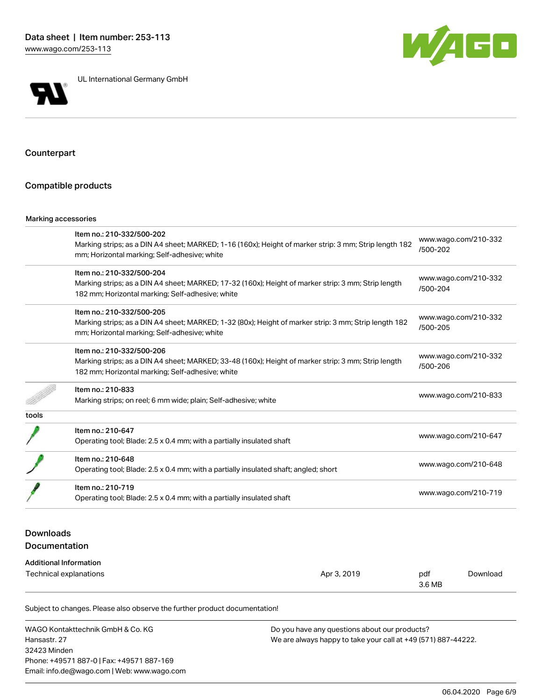

UL International Germany GmbH



Counterpart

#### Compatible products

#### Marking accessories

|       | Item no.: 210-332/500-202                                                                              |                                  |  |
|-------|--------------------------------------------------------------------------------------------------------|----------------------------------|--|
|       | Marking strips; as a DIN A4 sheet; MARKED; 1-16 (160x); Height of marker strip: 3 mm; Strip length 182 | www.wago.com/210-332<br>/500-202 |  |
|       | mm; Horizontal marking; Self-adhesive; white                                                           |                                  |  |
|       | Item no.: 210-332/500-204                                                                              |                                  |  |
|       | Marking strips; as a DIN A4 sheet; MARKED; 17-32 (160x); Height of marker strip: 3 mm; Strip length    | www.wago.com/210-332<br>/500-204 |  |
|       | 182 mm; Horizontal marking; Self-adhesive; white                                                       |                                  |  |
|       | Item no.: 210-332/500-205                                                                              |                                  |  |
|       | Marking strips; as a DIN A4 sheet; MARKED; 1-32 (80x); Height of marker strip: 3 mm; Strip length 182  | www.wago.com/210-332             |  |
|       | mm; Horizontal marking; Self-adhesive; white                                                           | /500-205                         |  |
|       | Item no.: 210-332/500-206                                                                              |                                  |  |
|       | Marking strips; as a DIN A4 sheet; MARKED; 33-48 (160x); Height of marker strip: 3 mm; Strip length    | www.wago.com/210-332             |  |
|       | 182 mm; Horizontal marking; Self-adhesive; white                                                       | /500-206                         |  |
|       | Item no.: 210-833                                                                                      |                                  |  |
|       | Marking strips; on reel; 6 mm wide; plain; Self-adhesive; white                                        | www.wago.com/210-833             |  |
| tools |                                                                                                        |                                  |  |
|       | Item no.: 210-647                                                                                      | www.wago.com/210-647             |  |
|       | Operating tool; Blade: 2.5 x 0.4 mm; with a partially insulated shaft                                  |                                  |  |
|       | Item no.: 210-648                                                                                      |                                  |  |
|       | Operating tool; Blade: 2.5 x 0.4 mm; with a partially insulated shaft; angled; short                   | www.wago.com/210-648             |  |
|       | Item no.: 210-719                                                                                      |                                  |  |
|       | Operating tool; Blade: 2.5 x 0.4 mm; with a partially insulated shaft                                  | www.wago.com/210-719             |  |

## Downloads Documentation

#### Additional Information

| ____<br>Technical explanations | Apr 3, 2019 | pdf    | Download |
|--------------------------------|-------------|--------|----------|
|                                |             | 3.6 MB |          |

Subject to changes. Please also observe the further product documentation!

WAGO Kontakttechnik GmbH & Co. KG Hansastr. 27 32423 Minden Phone: +49571 887-0 | Fax: +49571 887-169 Email: info.de@wago.com | Web: www.wago.com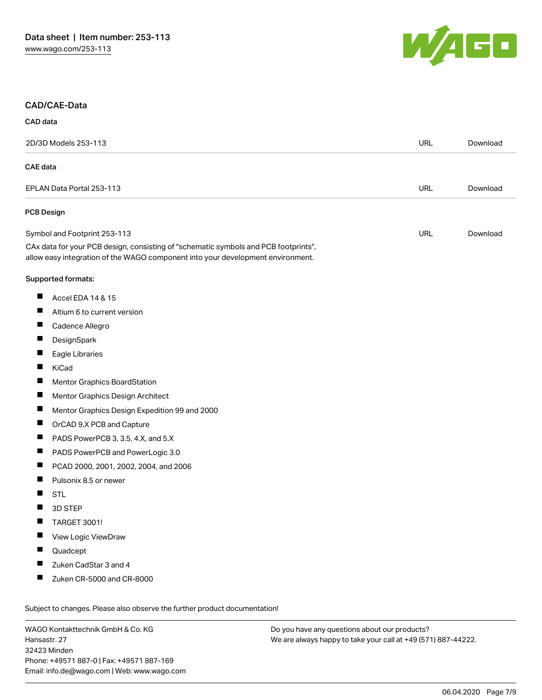

#### CAD/CAE-Data

| <b>CAD</b> data |  |
|-----------------|--|
|                 |  |

| 2D/3D Models 253-113 |                                                                                                                                                                        | <b>URL</b> | Download |
|----------------------|------------------------------------------------------------------------------------------------------------------------------------------------------------------------|------------|----------|
| <b>CAE</b> data      |                                                                                                                                                                        |            |          |
|                      | EPLAN Data Portal 253-113                                                                                                                                              |            | Download |
|                      | <b>PCB Design</b>                                                                                                                                                      |            |          |
|                      | Symbol and Footprint 253-113                                                                                                                                           | <b>URL</b> | Download |
|                      | CAx data for your PCB design, consisting of "schematic symbols and PCB footprints",<br>allow easy integration of the WAGO component into your development environment. |            |          |
|                      | Supported formats:                                                                                                                                                     |            |          |
| ш                    | Accel EDA 14 & 15                                                                                                                                                      |            |          |
| ш                    | Altium 6 to current version                                                                                                                                            |            |          |
|                      | Cadence Allegro                                                                                                                                                        |            |          |
| ш                    | DesignSpark                                                                                                                                                            |            |          |
| ш                    | Eagle Libraries                                                                                                                                                        |            |          |
| H                    | KiCad                                                                                                                                                                  |            |          |
| ш                    | Mentor Graphics BoardStation                                                                                                                                           |            |          |
| Ш                    | Mentor Graphics Design Architect                                                                                                                                       |            |          |
| П                    | Mentor Graphics Design Expedition 99 and 2000                                                                                                                          |            |          |
| ш                    | OrCAD 9.X PCB and Capture                                                                                                                                              |            |          |
| ш                    | PADS PowerPCB 3, 3.5, 4.X, and 5.X                                                                                                                                     |            |          |
| Ш                    | PADS PowerPCB and PowerLogic 3.0                                                                                                                                       |            |          |
| ш                    | PCAD 2000, 2001, 2002, 2004, and 2006                                                                                                                                  |            |          |
| ш                    | Pulsonix 8.5 or newer                                                                                                                                                  |            |          |
| ш                    | <b>STL</b>                                                                                                                                                             |            |          |
| Ш                    | 3D STEP                                                                                                                                                                |            |          |
|                      | TARGET 3001!                                                                                                                                                           |            |          |
|                      | View Logic ViewDraw                                                                                                                                                    |            |          |
|                      | Quadcept                                                                                                                                                               |            |          |
|                      | Zuken CadStar 3 and 4                                                                                                                                                  |            |          |
| ш                    | Zuken CR-5000 and CR-8000                                                                                                                                              |            |          |

WAGO Kontakttechnik GmbH & Co. KG Hansastr. 27 32423 Minden Phone: +49571 887-0 | Fax: +49571 887-169 Email: info.de@wago.com | Web: www.wago.com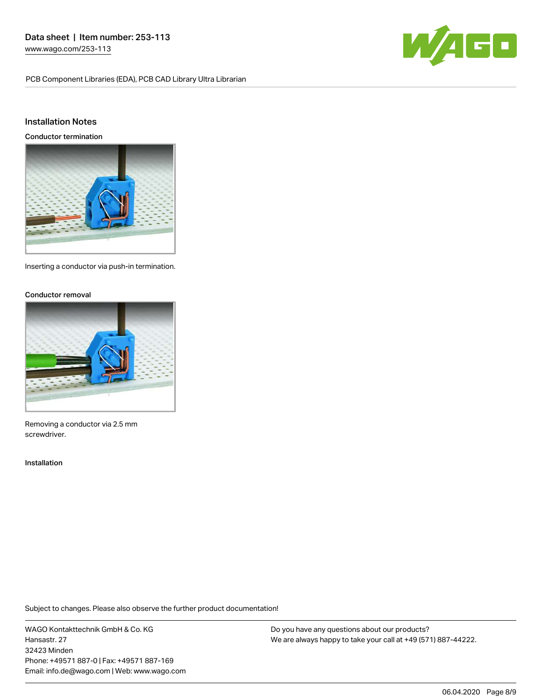PCB Component Libraries (EDA), PCB CAD Library Ultra Librarian



### Installation Notes

Conductor termination



Inserting a conductor via push-in termination.

#### Conductor removal



Removing a conductor via 2.5 mm screwdriver.

#### Installation

Subject to changes. Please also observe the further product documentation!

WAGO Kontakttechnik GmbH & Co. KG Hansastr. 27 32423 Minden Phone: +49571 887-0 | Fax: +49571 887-169 Email: info.de@wago.com | Web: www.wago.com